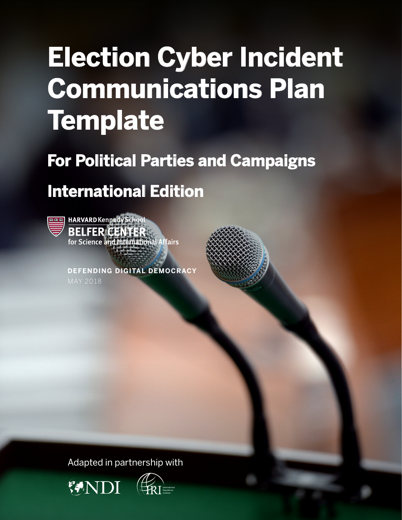# **Election Cyber Incident Communications Plan Template**

## **For Political Parties and Campaigns**

## **International Edition**



HARVARD Kennedy School **BELFER CENTER**<br>for Science and International Affairs

**DEFENDING DIGITAL DEMOCRACY** MAY 2018

Adapted in partnership with



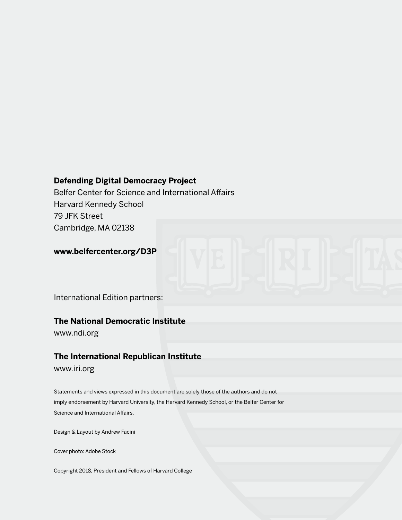#### **Defending Digital Democracy Project**

Belfer Center for Science and International Affairs Harvard Kennedy School 79 JFK Street Cambridge, MA 02138

**www.belfercenter.org/D3P**

International Edition partners:

#### **The National Democratic Institute**

www.ndi.org

#### **The International Republican Institute**

www.iri.org

Statements and views expressed in this document are solely those of the authors and do not imply endorsement by Harvard University, the Harvard Kennedy School, or the Belfer Center for Science and International Affairs.

Design & Layout by Andrew Facini

Cover photo: Adobe Stock

Copyright 2018, President and Fellows of Harvard College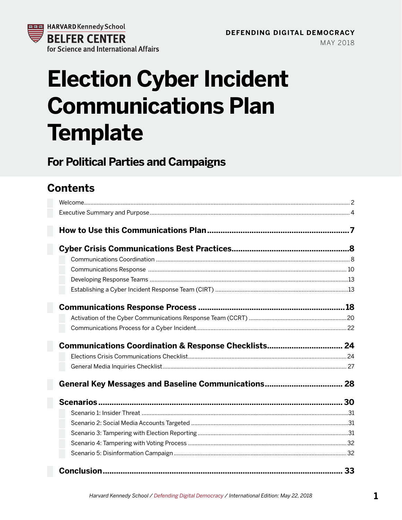

## Licouon opper moias<br>Communications Dla vommunoaciono i iai<br>Tamplata **Election Cyber Incident Communications Plan Template**

### **For Political Parties and Campaigns**

### **Contents**

| Communications Coordination & Response Checklists 24 |  |
|------------------------------------------------------|--|
|                                                      |  |
|                                                      |  |
|                                                      |  |
|                                                      |  |
|                                                      |  |
|                                                      |  |
|                                                      |  |
|                                                      |  |
|                                                      |  |
|                                                      |  |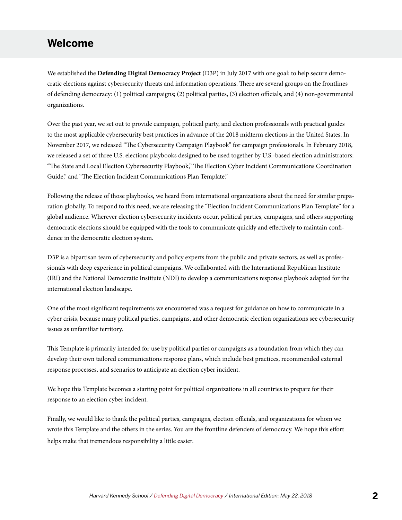#### <span id="page-3-0"></span>**Welcome**

We established the **Defending Digital Democracy Project** (D3P) in July 2017 with one goal: to help secure democratic elections against cybersecurity threats and information operations. There are several groups on the frontlines of defending democracy: (1) political campaigns; (2) political parties, (3) election officials, and (4) non-governmental organizations.

Over the past year, we set out to provide campaign, political party, and election professionals with practical guides to the most applicable cybersecurity best practices in advance of the 2018 midterm elections in the United States. In November 2017, we released "The Cybersecurity Campaign Playbook" for campaign professionals. In February 2018, we released a set of three U.S. elections playbooks designed to be used together by U.S.-based election administrators: "The State and Local Election Cybersecurity Playbook," The Election Cyber Incident Communications Coordination Guide," and "The Election Incident Communications Plan Template."

Following the release of those playbooks, we heard from international organizations about the need for similar preparation globally. To respond to this need, we are releasing the "Election Incident Communications Plan Template" for a global audience. Wherever election cybersecurity incidents occur, political parties, campaigns, and others supporting democratic elections should be equipped with the tools to communicate quickly and effectively to maintain confidence in the democratic election system.

D3P is a bipartisan team of cybersecurity and policy experts from the public and private sectors, as well as professionals with deep experience in political campaigns. We collaborated with the International Republican Institute (IRI) and the National Democratic Institute (NDI) to develop a communications response playbook adapted for the international election landscape.

One of the most significant requirements we encountered was a request for guidance on how to communicate in a cyber crisis, because many political parties, campaigns, and other democratic election organizations see cybersecurity issues as unfamiliar territory.

This Template is primarily intended for use by political parties or campaigns as a foundation from which they can develop their own tailored communications response plans, which include best practices, recommended external response processes, and scenarios to anticipate an election cyber incident.

We hope this Template becomes a starting point for political organizations in all countries to prepare for their response to an election cyber incident.

Finally, we would like to thank the political parties, campaigns, election officials, and organizations for whom we wrote this Template and the others in the series. You are the frontline defenders of democracy. We hope this effort helps make that tremendous responsibility a little easier.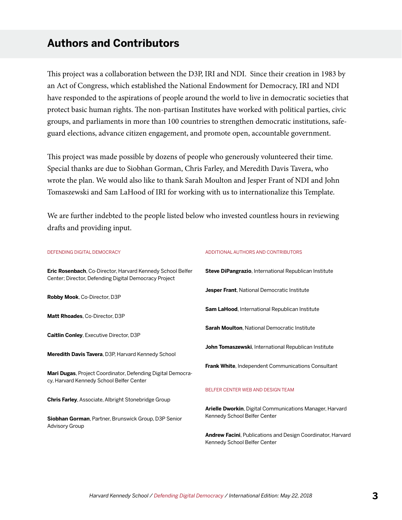#### **Authors and Contributors**

This project was a collaboration between the D3P, IRI and NDI. Since their creation in 1983 by an Act of Congress, which established the National Endowment for Democracy, IRI and NDI have responded to the aspirations of people around the world to live in democratic societies that protect basic human rights. The non-partisan Institutes have worked with political parties, civic groups, and parliaments in more than 100 countries to strengthen democratic institutions, safeguard elections, advance citizen engagement, and promote open, accountable government.

This project was made possible by dozens of people who generously volunteered their time. Special thanks are due to Siobhan Gorman, Chris Farley, and Meredith Davis Tavera, who wrote the plan. We would also like to thank Sarah Moulton and Jesper Frant of NDI and John Tomaszewski and Sam LaHood of IRI for working with us to internationalize this Template.

We are further indebted to the people listed below who invested countless hours in reviewing drafts and providing input.

| <b>DEFENDING DIGITAL DEMOCRACY</b>                                                                                  | Α      |
|---------------------------------------------------------------------------------------------------------------------|--------|
| Eric Rosenbach, Co-Director, Harvard Kennedy School Belfer<br>Center; Director, Defending Digital Democracy Project | S      |
| Robby Mook, Co-Director, D3P                                                                                        | J      |
| Matt Rhoades, Co-Director, D3P                                                                                      | S      |
| <b>Caitlin Conley, Executive Director, D3P</b>                                                                      | s      |
| Meredith Davis Tavera, D3P, Harvard Kennedy School                                                                  | J      |
| Mari Dugas, Project Coordinator, Defending Digital Democra-<br>cy, Harvard Kennedy School Belfer Center             | F      |
| <b>Chris Farley, Associate, Albright Stonebridge Group</b>                                                          | B      |
| Siobhan Gorman, Partner, Brunswick Group, D3P Senior<br><b>Advisory Group</b>                                       | A<br>Κ |
|                                                                                                                     | A<br>v |

#### ADDITIONAL AUTHORS AND CONTRIBUTORS

**Steve DiPangrazio**, International Republican Institute

**Jesper Frant**, National Democratic Institute

**Sam LaHood**, International Republican Institute

**Sarah Moulton**, National Democratic Institute

**John Tomaszewski**, International Republican Institute

**Frank White**, Independent Communications Consultant

#### BELFER CENTER WEB AND DESIGN TEAM

**Arielle Dworkin**, Digital Communications Manager, Harvard Kennedy School Belfer Center

**Andrew Facini**, Publications and Design Coordinator, Harvard Kennedy School Belfer Center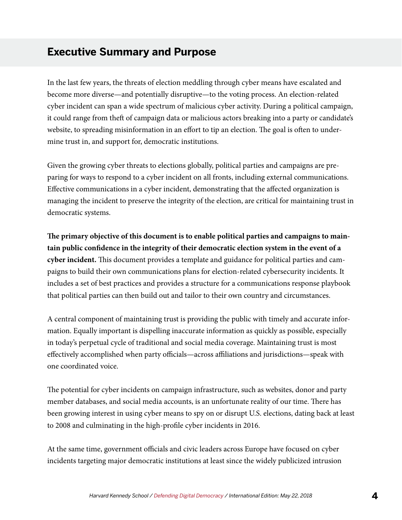#### <span id="page-5-0"></span>**Executive Summary and Purpose**

In the last few years, the threats of election meddling through cyber means have escalated and become more diverse—and potentially disruptive—to the voting process. An election-related cyber incident can span a wide spectrum of malicious cyber activity. During a political campaign, it could range from theft of campaign data or malicious actors breaking into a party or candidate's website, to spreading misinformation in an effort to tip an election. The goal is often to undermine trust in, and support for, democratic institutions.

Given the growing cyber threats to elections globally, political parties and campaigns are preparing for ways to respond to a cyber incident on all fronts, including external communications. Effective communications in a cyber incident, demonstrating that the affected organization is managing the incident to preserve the integrity of the election, are critical for maintaining trust in democratic systems.

**The primary objective of this document is to enable political parties and campaigns to maintain public confidence in the integrity of their democratic election system in the event of a cyber incident.** This document provides a template and guidance for political parties and campaigns to build their own communications plans for election-related cybersecurity incidents. It includes a set of best practices and provides a structure for a communications response playbook that political parties can then build out and tailor to their own country and circumstances.

A central component of maintaining trust is providing the public with timely and accurate information. Equally important is dispelling inaccurate information as quickly as possible, especially in today's perpetual cycle of traditional and social media coverage. Maintaining trust is most effectively accomplished when party officials—across affiliations and jurisdictions—speak with one coordinated voice.

The potential for cyber incidents on campaign infrastructure, such as websites, donor and party member databases, and social media accounts, is an unfortunate reality of our time. There has been growing interest in using cyber means to spy on or disrupt U.S. elections, dating back at least to 2008 and culminating in the high-profile cyber incidents in 2016.

At the same time, government officials and civic leaders across Europe have focused on cyber incidents targeting major democratic institutions at least since the widely publicized intrusion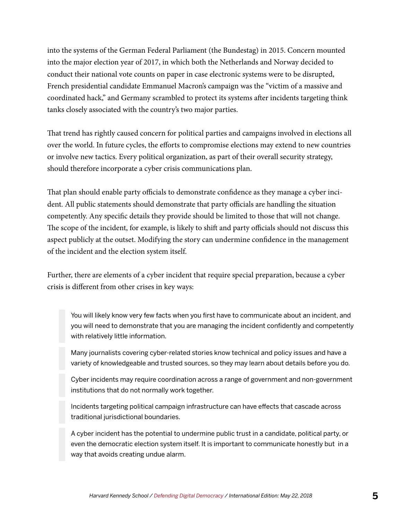into the systems of the German Federal Parliament (the Bundestag) in 2015. Concern mounted into the major election year of 2017, in which both the Netherlands and Norway decided to conduct their national vote counts on paper in case electronic systems were to be disrupted, French presidential candidate Emmanuel Macron's campaign was the "victim of a massive and coordinated hack," and Germany scrambled to protect its systems after incidents targeting think tanks closely associated with the country's two major parties.

That trend has rightly caused concern for political parties and campaigns involved in elections all over the world. In future cycles, the efforts to compromise elections may extend to new countries or involve new tactics. Every political organization, as part of their overall security strategy, should therefore incorporate a cyber crisis communications plan.

That plan should enable party officials to demonstrate confidence as they manage a cyber incident. All public statements should demonstrate that party officials are handling the situation competently. Any specific details they provide should be limited to those that will not change. The scope of the incident, for example, is likely to shift and party officials should not discuss this aspect publicly at the outset. Modifying the story can undermine confidence in the management of the incident and the election system itself.

Further, there are elements of a cyber incident that require special preparation, because a cyber crisis is different from other crises in key ways:

You will likely know very few facts when you first have to communicate about an incident, and you will need to demonstrate that you are managing the incident confidently and competently with relatively little information.

Many journalists covering cyber-related stories know technical and policy issues and have a variety of knowledgeable and trusted sources, so they may learn about details before you do.

Cyber incidents may require coordination across a range of government and non-government institutions that do not normally work together.

Incidents targeting political campaign infrastructure can have effects that cascade across traditional jurisdictional boundaries.

A cyber incident has the potential to undermine public trust in a candidate, political party, or even the democratic election system itself. It is important to communicate honestly but in a way that avoids creating undue alarm.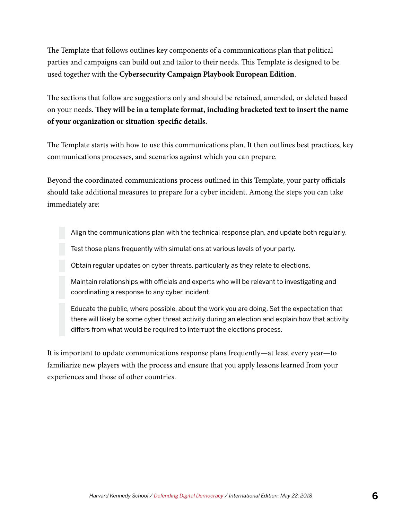The Template that follows outlines key components of a communications plan that political parties and campaigns can build out and tailor to their needs. This Template is designed to be used together with the **Cybersecurity Campaign Playbook European Edition**.

The sections that follow are suggestions only and should be retained, amended, or deleted based on your needs. **They will be in a template format, including bracketed text to insert the name of your organization or situation-specific details.**

The Template starts with how to use this communications plan. It then outlines best practices, key communications processes, and scenarios against which you can prepare.

Beyond the coordinated communications process outlined in this Template, your party officials should take additional measures to prepare for a cyber incident. Among the steps you can take immediately are:

Align the communications plan with the technical response plan, and update both regularly.

Test those plans frequently with simulations at various levels of your party.

Obtain regular updates on cyber threats, particularly as they relate to elections.

Maintain relationships with officials and experts who will be relevant to investigating and coordinating a response to any cyber incident.

Educate the public, where possible, about the work you are doing. Set the expectation that there will likely be some cyber threat activity during an election and explain how that activity differs from what would be required to interrupt the elections process.

It is important to update communications response plans frequently—at least every year—to familiarize new players with the process and ensure that you apply lessons learned from your experiences and those of other countries.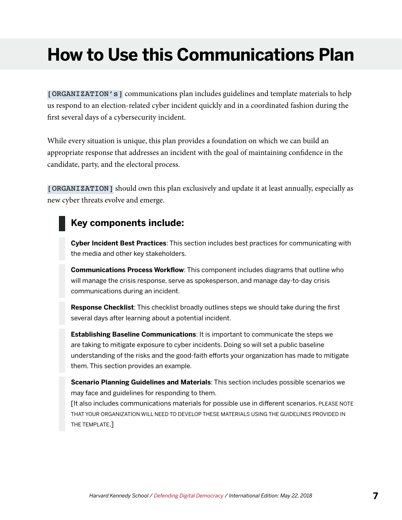## <span id="page-8-0"></span>**How to Use this Communications Plan**

[ORGANIZATION's] communications plan includes guidelines and template materials to help us respond to an election-related cyber incident quickly and in a coordinated fashion during the first several days of a cybersecurity incident.

While every situation is unique, this plan provides a foundation on which we can build an appropriate response that addresses an incident with the goal of maintaining confidence in the candidate, party, and the electoral process.

[ORGANIZATION] should own this plan exclusively and update it at least annually, especially as new cyber threats evolve and emerge.

#### **Key components include:**

**Cyber Incident Best Practices**: This section includes best practices for communicating with the media and other key stakeholders.

**Communications Process Workflow**: This component includes diagrams that outline who will manage the crisis response, serve as spokesperson, and manage day-to-day crisis communications during an incident.

**Response Checklist**: This checklist broadly outlines steps we should take during the first several days after learning about a potential incident.

**Establishing Baseline Communications**: It is important to communicate the steps we are taking to mitigate exposure to cyber incidents. Doing so will set a public baseline understanding of the risks and the good-faith efforts your organization has made to mitigate them. This section provides an example.

**Scenario Planning Guidelines and Materials**: This section includes possible scenarios we may face and guidelines for responding to them.

[It also includes communications materials for possible use in different scenarios. PLEASE NOTE THAT YOUR ORGANIZATION WILL NEED TO DEVELOP THESE MATERIALS USING THE GUIDELINES PROVIDED IN THE TEMPLATE.]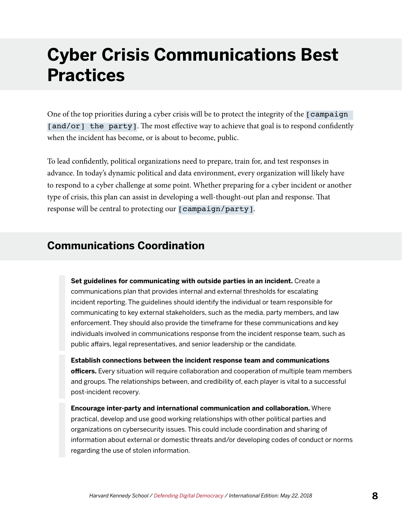## <span id="page-9-0"></span>**Cyber Crisis Communications Best Practices**

One of the top priorities during a cyber crisis will be to protect the integrity of the [campaign [and/or] the party]. The most effective way to achieve that goal is to respond confidently when the incident has become, or is about to become, public.

To lead confidently, political organizations need to prepare, train for, and test responses in advance. In today's dynamic political and data environment, every organization will likely have to respond to a cyber challenge at some point. Whether preparing for a cyber incident or another type of crisis, this plan can assist in developing a well-thought-out plan and response. That response will be central to protecting our [campaign/party].

#### **Communications Coordination**

**Set guidelines for communicating with outside parties in an incident.** Create a communications plan that provides internal and external thresholds for escalating incident reporting. The guidelines should identify the individual or team responsible for communicating to key external stakeholders, such as the media, party members, and law enforcement. They should also provide the timeframe for these communications and key individuals involved in communications response from the incident response team, such as public affairs, legal representatives, and senior leadership or the candidate.

**Establish connections between the incident response team and communications officers.** Every situation will require collaboration and cooperation of multiple team members and groups. The relationships between, and credibility of, each player is vital to a successful post-incident recovery.

**Encourage inter-party and international communication and collaboration.** Where practical, develop and use good working relationships with other political parties and organizations on cybersecurity issues. This could include coordination and sharing of information about external or domestic threats and/or developing codes of conduct or norms regarding the use of stolen information.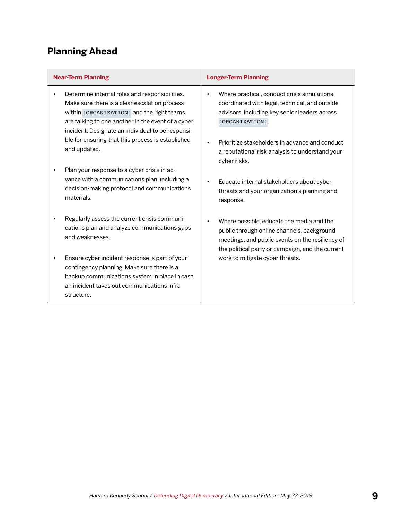### **Planning Ahead**

| <b>Near-Term Planning</b>                                                                                                                                                                                                                               | <b>Longer-Term Planning</b>                                                                                                                                                                     |
|---------------------------------------------------------------------------------------------------------------------------------------------------------------------------------------------------------------------------------------------------------|-------------------------------------------------------------------------------------------------------------------------------------------------------------------------------------------------|
| Determine internal roles and responsibilities.<br>Make sure there is a clear escalation process<br>within [ORGANIZATION] and the right teams<br>are talking to one another in the event of a cyber<br>incident. Designate an individual to be responsi- | Where practical, conduct crisis simulations,<br>coordinated with legal, technical, and outside<br>advisors, including key senior leaders across<br>[ORGANIZATION].                              |
| ble for ensuring that this process is established<br>and updated.                                                                                                                                                                                       | Prioritize stakeholders in advance and conduct<br>a reputational risk analysis to understand your<br>cyber risks.                                                                               |
| Plan your response to a cyber crisis in ad-<br>vance with a communications plan, including a<br>decision-making protocol and communications<br>materials.                                                                                               | Educate internal stakeholders about cyber<br>threats and your organization's planning and<br>response.                                                                                          |
| Regularly assess the current crisis communi-<br>cations plan and analyze communications gaps<br>and weaknesses.                                                                                                                                         | Where possible, educate the media and the<br>public through online channels, background<br>meetings, and public events on the resiliency of<br>the political party or campaign, and the current |
| Ensure cyber incident response is part of your<br>contingency planning. Make sure there is a<br>backup communications system in place in case<br>an incident takes out communications infra-<br>structure.                                              | work to mitigate cyber threats.                                                                                                                                                                 |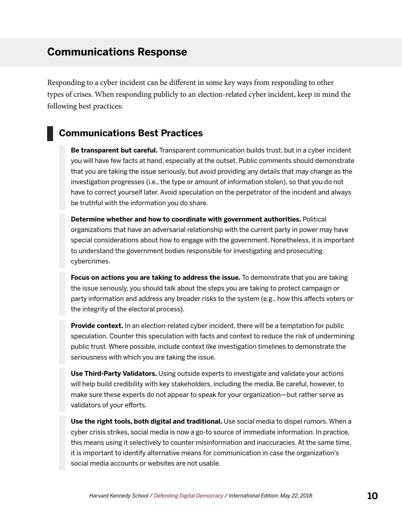#### <span id="page-11-0"></span>**Communications Response**

Responding to a cyber incident can be different in some key ways from responding to other types of crises. When responding publicly to an election-related cyber incident, keep in mind the following best practices:

#### **Communications Best Practices**

**Be transparent but careful.** Transparent communication builds trust, but in a cyber incident you will have few facts at hand, especially at the outset. Public comments should demonstrate that you are taking the issue seriously, but avoid providing any details that may change as the investigation progresses (i.e., the type or amount of information stolen), so that you do not have to correct yourself later. Avoid speculation on the perpetrator of the incident and always be truthful with the information you do share.

**Determine whether and how to coordinate with government authorities.** Political organizations that have an adversarial relationship with the current party in power may have special considerations about how to engage with the government. Nonetheless, it is important to understand the government bodies responsible for investigating and prosecuting cybercrimes.

**Focus on actions you are taking to address the issue.** To demonstrate that you are taking the issue seriously, you should talk about the steps you are taking to protect campaign or party information and address any broader risks to the system (e.g., how this affects voters or the integrity of the electoral process).

**Provide context.** In an election-related cyber incident, there will be a temptation for public speculation. Counter this speculation with facts and context to reduce the risk of undermining public trust. Where possible, include context like investigation timelines to demonstrate the seriousness with which you are taking the issue.

**Use Third-Party Validators.** Using outside experts to investigate and validate your actions will help build credibility with key stakeholders, including the media. Be careful, however, to make sure these experts do not appear to speak for your organization—but rather serve as validators of your efforts.

**Use the right tools, both digital and traditional.** Use social media to dispel rumors. When a cyber crisis strikes, social media is now a go-to source of immediate information. In practice, this means using it selectively to counter misinformation and inaccuracies. At the same time, it is important to identify alternative means for communication in case the organization's social media accounts or websites are not usable.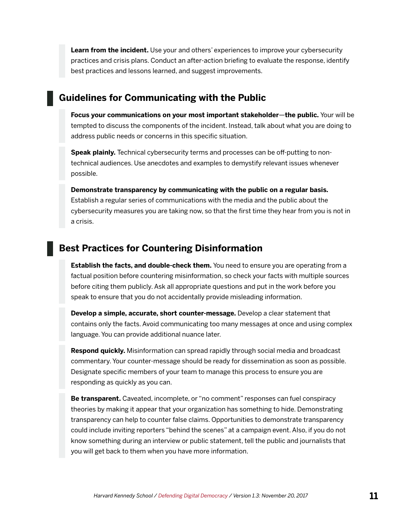**Learn from the incident.** Use your and others' experiences to improve your cybersecurity practices and crisis plans. Conduct an after-action briefing to evaluate the response, identify best practices and lessons learned, and suggest improvements.

#### **Guidelines for Communicating with the Public**

**Focus your communications on your most important stakeholder**—**the public.** Your will be tempted to discuss the components of the incident. Instead, talk about what you are doing to address public needs or concerns in this specific situation.

**Speak plainly.** Technical cybersecurity terms and processes can be off-putting to nontechnical audiences. Use anecdotes and examples to demystify relevant issues whenever possible.

**Demonstrate transparency by communicating with the public on a regular basis.** 

Establish a regular series of communications with the media and the public about the cybersecurity measures you are taking now, so that the first time they hear from you is not in a crisis.

#### **Best Practices for Countering Disinformation**

**Establish the facts, and double-check them.** You need to ensure you are operating from a factual position before countering misinformation, so check your facts with multiple sources before citing them publicly. Ask all appropriate questions and put in the work before you speak to ensure that you do not accidentally provide misleading information.

**Develop a simple, accurate, short counter-message.** Develop a clear statement that contains only the facts. Avoid communicating too many messages at once and using complex language. You can provide additional nuance later.

**Respond quickly.** Misinformation can spread rapidly through social media and broadcast commentary. Your counter-message should be ready for dissemination as soon as possible. Designate specific members of your team to manage this process to ensure you are responding as quickly as you can.

**Be transparent.** Caveated, incomplete, or "no comment" responses can fuel conspiracy theories by making it appear that your organization has something to hide. Demonstrating transparency can help to counter false claims. Opportunities to demonstrate transparency could include inviting reporters "behind the scenes" at a campaign event. Also, if you do not know something during an interview or public statement, tell the public and journalists that you will get back to them when you have more information.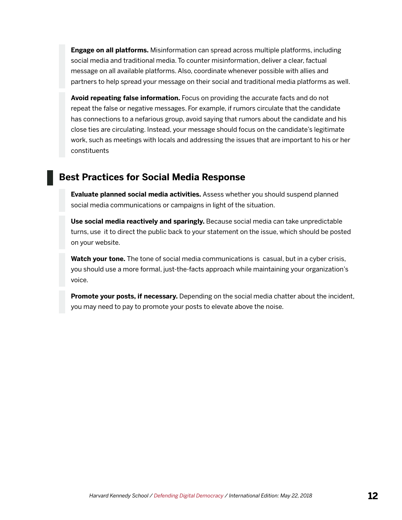**Engage on all platforms.** Misinformation can spread across multiple platforms, including social media and traditional media. To counter misinformation, deliver a clear, factual message on all available platforms. Also, coordinate whenever possible with allies and partners to help spread your message on their social and traditional media platforms as well.

**Avoid repeating false information.** Focus on providing the accurate facts and do not repeat the false or negative messages. For example, if rumors circulate that the candidate has connections to a nefarious group, avoid saying that rumors about the candidate and his close ties are circulating. Instead, your message should focus on the candidate's legitimate work, such as meetings with locals and addressing the issues that are important to his or her constituents

#### **Best Practices for Social Media Response**

**Evaluate planned social media activities.** Assess whether you should suspend planned social media communications or campaigns in light of the situation.

**Use social media reactively and sparingly.** Because social media can take unpredictable turns, use it to direct the public back to your statement on the issue, which should be posted on your website.

**Watch your tone.** The tone of social media communications is casual, but in a cyber crisis, you should use a more formal, just-the-facts approach while maintaining your organization's voice.

**Promote your posts, if necessary.** Depending on the social media chatter about the incident, you may need to pay to promote your posts to elevate above the noise.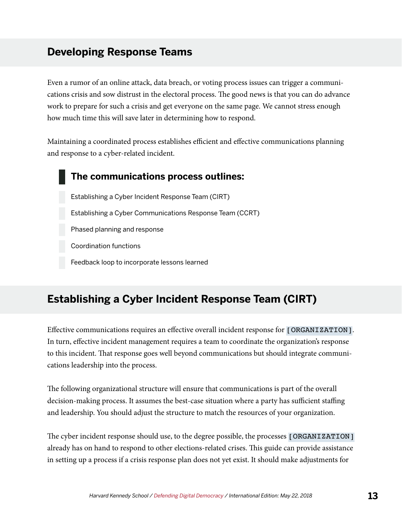#### <span id="page-14-0"></span>**Developing Response Teams**

Even a rumor of an online attack, data breach, or voting process issues can trigger a communications crisis and sow distrust in the electoral process. The good news is that you can do advance work to prepare for such a crisis and get everyone on the same page. We cannot stress enough how much time this will save later in determining how to respond.

Maintaining a coordinated process establishes efficient and effective communications planning and response to a cyber-related incident.

#### **The communications process outlines:**

Establishing a Cyber Incident Response Team (CIRT) Establishing a Cyber Communications Response Team (CCRT) Phased planning and response Coordination functions Feedback loop to incorporate lessons learned

### **Establishing a Cyber Incident Response Team (CIRT)**

Effective communications requires an effective overall incident response for [ORGANIZATION]. In turn, effective incident management requires a team to coordinate the organization's response to this incident. That response goes well beyond communications but should integrate communications leadership into the process.

The following organizational structure will ensure that communications is part of the overall decision-making process. It assumes the best-case situation where a party has sufficient staffing and leadership. You should adjust the structure to match the resources of your organization.

The cyber incident response should use, to the degree possible, the processes [ORGANIZATION] already has on hand to respond to other elections-related crises. This guide can provide assistance in setting up a process if a crisis response plan does not yet exist. It should make adjustments for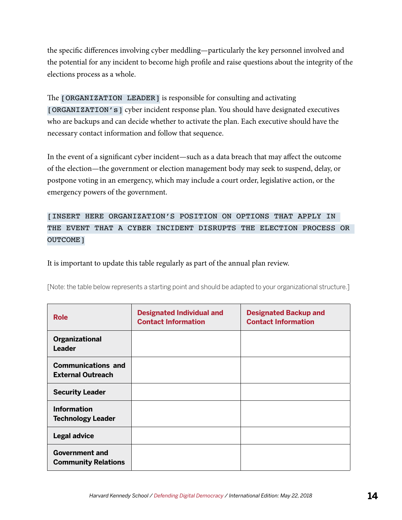the specific differences involving cyber meddling—particularly the key personnel involved and the potential for any incident to become high profile and raise questions about the integrity of the elections process as a whole.

The [ORGANIZATION LEADER] is responsible for consulting and activating [ORGANIZATION's] cyber incident response plan. You should have designated executives who are backups and can decide whether to activate the plan. Each executive should have the necessary contact information and follow that sequence.

In the event of a significant cyber incident—such as a data breach that may affect the outcome of the election—the government or election management body may seek to suspend, delay, or postpone voting in an emergency, which may include a court order, legislative action, or the emergency powers of the government.

[INSERT HERE ORGANIZATION'S POSITION ON OPTIONS THAT APPLY IN THE EVENT THAT A CYBER INCIDENT DISRUPTS THE ELECTION PROCESS OR OUTCOME]

It is important to update this table regularly as part of the annual plan review.

[Note: the table below represents a starting point and should be adapted to your organizational structure.]

| <b>Role</b>                                           | <b>Designated Individual and</b><br><b>Contact Information</b> | <b>Designated Backup and</b><br><b>Contact Information</b> |
|-------------------------------------------------------|----------------------------------------------------------------|------------------------------------------------------------|
| Organizational<br><b>Leader</b>                       |                                                                |                                                            |
| <b>Communications and</b><br><b>External Outreach</b> |                                                                |                                                            |
| <b>Security Leader</b>                                |                                                                |                                                            |
| <b>Information</b><br><b>Technology Leader</b>        |                                                                |                                                            |
| <b>Legal advice</b>                                   |                                                                |                                                            |
| <b>Government and</b><br><b>Community Relations</b>   |                                                                |                                                            |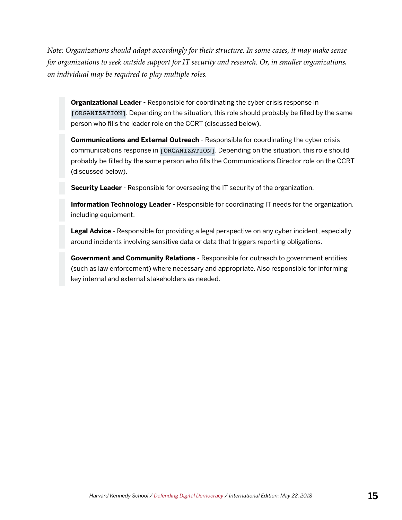*Note: Organizations should adapt accordingly for their structure. In some cases, it may make sense for organizations to seek outside support for IT security and research. Or, in smaller organizations, on individual may be required to play multiple roles.* 

**Organizational Leader -** Responsible for coordinating the cyber crisis response in [ORGANIZATION]. Depending on the situation, this role should probably be filled by the same person who fills the leader role on the CCRT (discussed below).

**Communications and External Outreach -** Responsible for coordinating the cyber crisis communications response in [ORGANIZATION]. Depending on the situation, this role should probably be filled by the same person who fills the Communications Director role on the CCRT (discussed below).

**Security Leader -** Responsible for overseeing the IT security of the organization.

**Information Technology Leader -** Responsible for coordinating IT needs for the organization, including equipment.

**Legal Advice -** Responsible for providing a legal perspective on any cyber incident, especially around incidents involving sensitive data or data that triggers reporting obligations.

**Government and Community Relations -** Responsible for outreach to government entities (such as law enforcement) where necessary and appropriate. Also responsible for informing key internal and external stakeholders as needed.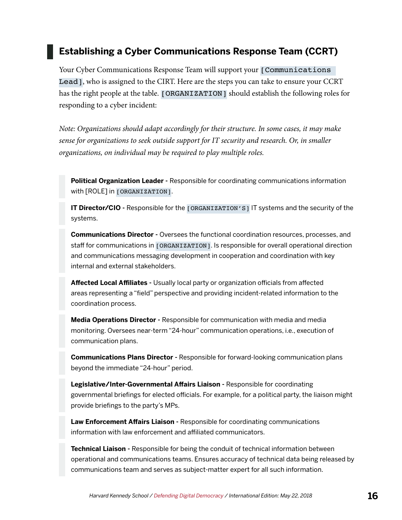#### **Establishing a Cyber Communications Response Team (CCRT)**

Your Cyber Communications Response Team will support your [Communications] Lead], who is assigned to the CIRT. Here are the steps you can take to ensure your CCRT has the right people at the table. [ORGANIZATION] should establish the following roles for responding to a cyber incident:

*Note: Organizations should adapt accordingly for their structure. In some cases, it may make sense for organizations to seek outside support for IT security and research. Or, in smaller organizations, on individual may be required to play multiple roles.* 

**Political Organization Leader -** Responsible for coordinating communications information with [ROLE] in [ORGANIZATION].

**IT Director/CIO** - Responsible for the [ORGANIZATION'S] IT systems and the security of the systems.

**Communications Director -** Oversees the functional coordination resources, processes, and staff for communications in [ORGANIZATION]. Is responsible for overall operational direction and communications messaging development in cooperation and coordination with key internal and external stakeholders.

**Affected Local Affiliates -** Usually local party or organization officials from affected areas representing a "field" perspective and providing incident-related information to the coordination process.

**Media Operations Director -** Responsible for communication with media and media monitoring. Oversees near-term "24-hour" communication operations, i.e., execution of communication plans.

**Communications Plans Director -** Responsible for forward-looking communication plans beyond the immediate "24-hour" period.

**Legislative/Inter-Governmental Affairs Liaison -** Responsible for coordinating governmental briefings for elected officials. For example, for a political party, the liaison might provide briefings to the party's MPs.

**Law Enforcement Affairs Liaison -** Responsible for coordinating communications information with law enforcement and affiliated communicators.

**Technical Liaison -** Responsible for being the conduit of technical information between operational and communications teams. Ensures accuracy of technical data being released by communications team and serves as subject-matter expert for all such information.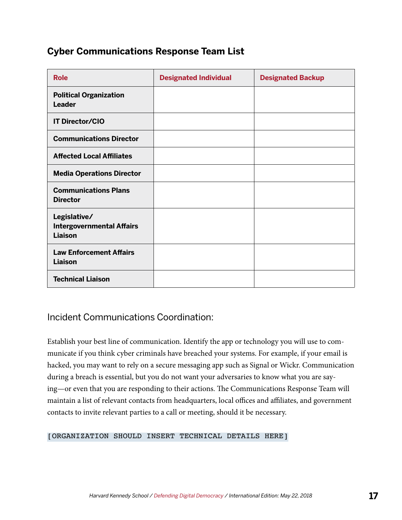#### **Cyber Communications Response Team List**

| <b>Role</b>                                                 | <b>Designated Individual</b> | <b>Designated Backup</b> |
|-------------------------------------------------------------|------------------------------|--------------------------|
| <b>Political Organization</b><br><b>Leader</b>              |                              |                          |
| <b>IT Director/CIO</b>                                      |                              |                          |
| <b>Communications Director</b>                              |                              |                          |
| <b>Affected Local Affiliates</b>                            |                              |                          |
| <b>Media Operations Director</b>                            |                              |                          |
| <b>Communications Plans</b><br><b>Director</b>              |                              |                          |
| Legislative/<br><b>Intergovernmental Affairs</b><br>Liaison |                              |                          |
| <b>Law Enforcement Affairs</b><br>Liaison                   |                              |                          |
| <b>Technical Liaison</b>                                    |                              |                          |

#### Incident Communications Coordination:

Establish your best line of communication. Identify the app or technology you will use to communicate if you think cyber criminals have breached your systems. For example, if your email is hacked, you may want to rely on a secure messaging app such as Signal or Wickr. Communication during a breach is essential, but you do not want your adversaries to know what you are saying—or even that you are responding to their actions. The Communications Response Team will maintain a list of relevant contacts from headquarters, local offices and affiliates, and government contacts to invite relevant parties to a call or meeting, should it be necessary.

#### [ORGANIZATION SHOULD INSERT TECHNICAL DETAILS HERE]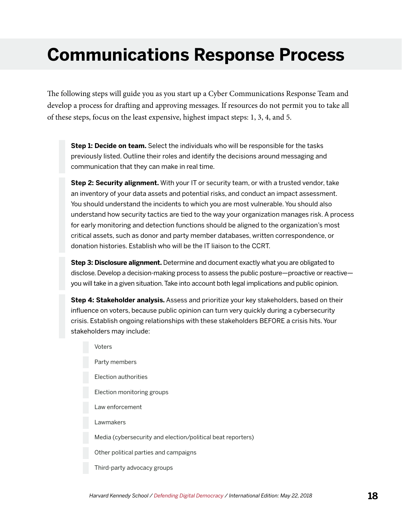## <span id="page-19-0"></span>**Communications Response Process**

The following steps will guide you as you start up a Cyber Communications Response Team and develop a process for drafting and approving messages. If resources do not permit you to take all of these steps, focus on the least expensive, highest impact steps: 1, 3, 4, and 5.

**Step 1: Decide on team.** Select the individuals who will be responsible for the tasks previously listed. Outline their roles and identify the decisions around messaging and communication that they can make in real time.

**Step 2: Security alignment.** With your IT or security team, or with a trusted vendor, take an inventory of your data assets and potential risks, and conduct an impact assessment. You should understand the incidents to which you are most vulnerable. You should also understand how security tactics are tied to the way your organization manages risk. A process for early monitoring and detection functions should be aligned to the organization's most critical assets, such as donor and party member databases, written correspondence, or donation histories. Establish who will be the IT liaison to the CCRT.

**Step 3: Disclosure alignment.** Determine and document exactly what you are obligated to disclose. Develop a decision-making process to assess the public posture—proactive or reactive you will take in a given situation. Take into account both legal implications and public opinion.

**Step 4: Stakeholder analysis.** Assess and prioritize your key stakeholders, based on their influence on voters, because public opinion can turn very quickly during a cybersecurity crisis. Establish ongoing relationships with these stakeholders BEFORE a crisis hits. Your stakeholders may include:

Voters Party members Election authorities Election monitoring groups Law enforcement Lawmakers Media (cybersecurity and election/political beat reporters) Other political parties and campaigns Third-party advocacy groups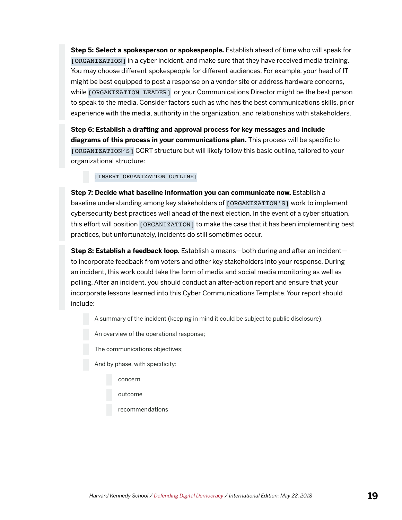**Step 5: Select a spokesperson or spokespeople.** Establish ahead of time who will speak for [ORGANIZATION] in a cyber incident, and make sure that they have received media training. You may choose different spokespeople for different audiences. For example, your head of IT might be best equipped to post a response on a vendor site or address hardware concerns, while [ORGANIZATION LEADER] or your Communications Director might be the best person to speak to the media. Consider factors such as who has the best communications skills, prior experience with the media, authority in the organization, and relationships with stakeholders.

**Step 6: Establish a drafting and approval process for key messages and include diagrams of this process in your communications plan.** This process will be specific to [ORGANIZATION'S] CCRT structure but will likely follow this basic outline, tailored to your organizational structure:

[INSERT ORGANIZATION OUTLINE]

**Step 7: Decide what baseline information you can communicate now.** Establish a baseline understanding among key stakeholders of [ORGANIZATION'S] work to implement cybersecurity best practices well ahead of the next election. In the event of a cyber situation, this effort will position [ORGANIZATION] to make the case that it has been implementing best practices, but unfortunately, incidents do still sometimes occur.

**Step 8: Establish a feedback loop.** Establish a means—both during and after an incident to incorporate feedback from voters and other key stakeholders into your response. During an incident, this work could take the form of media and social media monitoring as well as polling. After an incident, you should conduct an after-action report and ensure that your incorporate lessons learned into this Cyber Communications Template. Your report should include:

A summary of the incident (keeping in mind it could be subject to public disclosure);

An overview of the operational response;

The communications objectives;

And by phase, with specificity:

concern

outcome

recommendations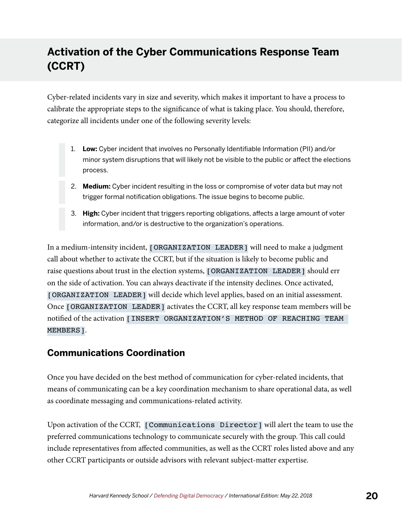### <span id="page-21-0"></span>**Activation of the Cyber Communications Response Team (CCRT)**

Cyber-related incidents vary in size and severity, which makes it important to have a process to calibrate the appropriate steps to the significance of what is taking place. You should, therefore, categorize all incidents under one of the following severity levels:

- 1. **Low:** Cyber incident that involves no Personally Identifiable Information (PII) and/or minor system disruptions that will likely not be visible to the public or affect the elections process.
- 2. **Medium:** Cyber incident resulting in the loss or compromise of voter data but may not trigger formal notification obligations. The issue begins to become public.
- 3. **High:** Cyber incident that triggers reporting obligations, affects a large amount of voter information, and/or is destructive to the organization's operations.

In a medium-intensity incident, [ORGANIZATION LEADER] will need to make a judgment call about whether to activate the CCRT, but if the situation is likely to become public and raise questions about trust in the election systems, [ORGANIZATION LEADER] should err on the side of activation. You can always deactivate if the intensity declines. Once activated, [ORGANIZATION LEADER] will decide which level applies, based on an initial assessment. Once [ORGANIZATION LEADER] activates the CCRT, all key response team members will be notified of the activation [INSERT ORGANIZATION'S METHOD OF REACHING TEAM MEMBERS].

#### **Communications Coordination**

Once you have decided on the best method of communication for cyber-related incidents, that means of communicating can be a key coordination mechanism to share operational data, as well as coordinate messaging and communications-related activity.

Upon activation of the CCRT, [Communications Director] will alert the team to use the preferred communications technology to communicate securely with the group. This call could include representatives from affected communities, as well as the CCRT roles listed above and any other CCRT participants or outside advisors with relevant subject-matter expertise.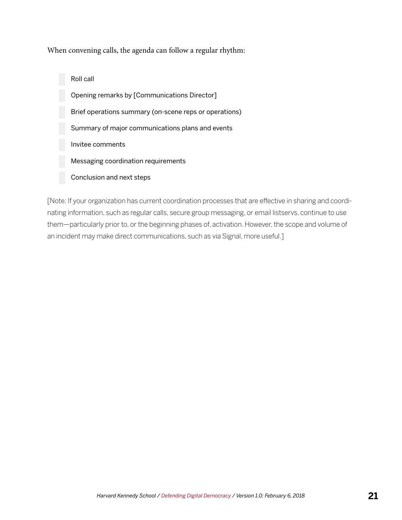When convening calls, the agenda can follow a regular rhythm:

Roll call Opening remarks by [Communications Director] Brief operations summary (on-scene reps or operations) Summary of major communications plans and events Invitee comments Messaging coordination requirements Conclusion and next steps

[Note: If your organization has current coordination processes that are effective in sharing and coordinating information, such as regular calls, secure group messaging, or email listservs, continue to use them—particularly prior to, or the beginning phases of, activation. However, the scope and volume of an incident may make direct communications, such as via Signal, more useful.]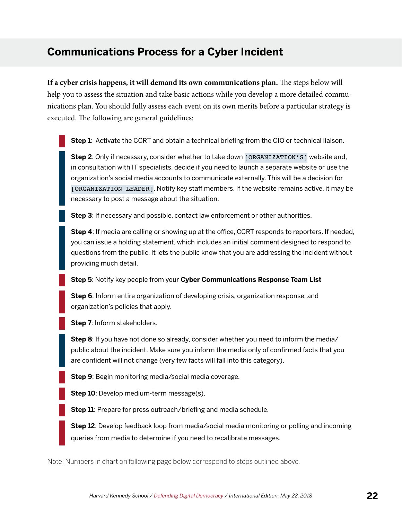### <span id="page-23-0"></span>**Communications Process for a Cyber Incident**

**If a cyber crisis happens, it will demand its own communications plan.** The steps below will help you to assess the situation and take basic actions while you develop a more detailed communications plan. You should fully assess each event on its own merits before a particular strategy is executed. The following are general guidelines:

**Step 1**: Activate the CCRT and obtain a technical briefing from the CIO or technical liaison.

**Step 2**: Only if necessary, consider whether to take down [ORGANIZATION'S] website and, in consultation with IT specialists, decide if you need to launch a separate website or use the organization's social media accounts to communicate externally. This will be a decision for [ORGANIZATION LEADER]. Notify key staff members. If the website remains active, it may be necessary to post a message about the situation.

**Step 3**: If necessary and possible, contact law enforcement or other authorities.

**Step 4**: If media are calling or showing up at the office, CCRT responds to reporters. If needed, you can issue a holding statement, which includes an initial comment designed to respond to questions from the public. It lets the public know that you are addressing the incident without providing much detail.

**Step 5**: Notify key people from your **Cyber Communications Response Team List**

**Step 6**: Inform entire organization of developing crisis, organization response, and organization's policies that apply.

**Step 7**: Inform stakeholders.

**Step 8**: If you have not done so already, consider whether you need to inform the media/ public about the incident. Make sure you inform the media only of confirmed facts that you are confident will not change (very few facts will fall into this category).

**Step 9**: Begin monitoring media/social media coverage.

**Step 10**: Develop medium-term message(s).

**Step 11:** Prepare for press outreach/briefing and media schedule.

**Step 12**: Develop feedback loop from media/social media monitoring or polling and incoming queries from media to determine if you need to recalibrate messages.

Note: Numbers in chart on following page below correspond to steps outlined above.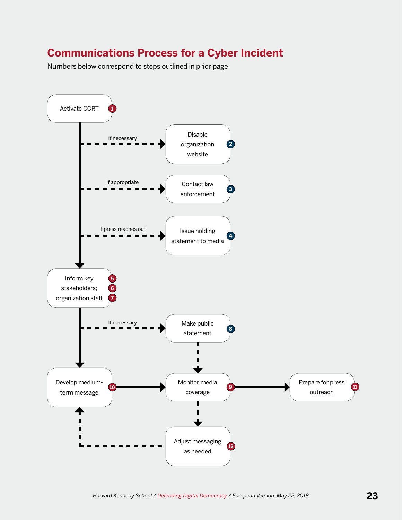### **Communications Process for a Cyber Incident**

Numbers below correspond to steps outlined in prior page

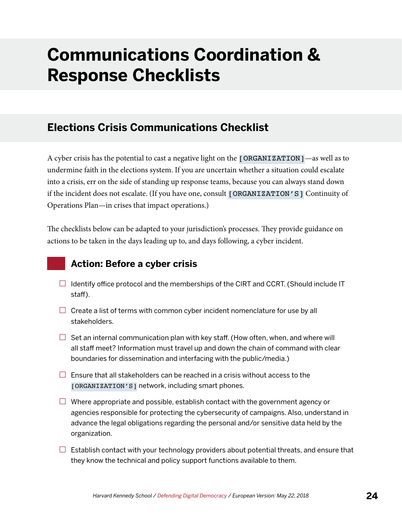## <span id="page-25-0"></span>**Communications Coordination & Response Checklists**

### **Elections Crisis Communications Checklist**

A cyber crisis has the potential to cast a negative light on the [ORGANIZATION]—as well as to undermine faith in the elections system. If you are uncertain whether a situation could escalate into a crisis, err on the side of standing up response teams, because you can always stand down if the incident does not escalate. (If you have one, consult [ORGANIZATION'S] Continuity of Operations Plan—in crises that impact operations.)

The checklists below can be adapted to your jurisdiction's processes. They provide guidance on actions to be taken in the days leading up to, and days following, a cyber incident.

#### **Action: Before a cyber crisis**

- $\Box$  Identify office protocol and the memberships of the CIRT and CCRT. (Should include IT staff).
- $\Box$  Create a list of terms with common cyber incident nomenclature for use by all stakeholders.
- $\Box$  Set an internal communication plan with key staff. (How often, when, and where will all staff meet? Information must travel up and down the chain of command with clear boundaries for dissemination and interfacing with the public/media.)
- $\Box$  Ensure that all stakeholders can be reached in a crisis without access to the [ORGANIZATION'S] network, including smart phones.
- $\Box$  Where appropriate and possible, establish contact with the government agency or agencies responsible for protecting the cybersecurity of campaigns. Also, understand in advance the legal obligations regarding the personal and/or sensitive data held by the organization.
- $\Box$  Establish contact with your technology providers about potential threats, and ensure that they know the technical and policy support functions available to them.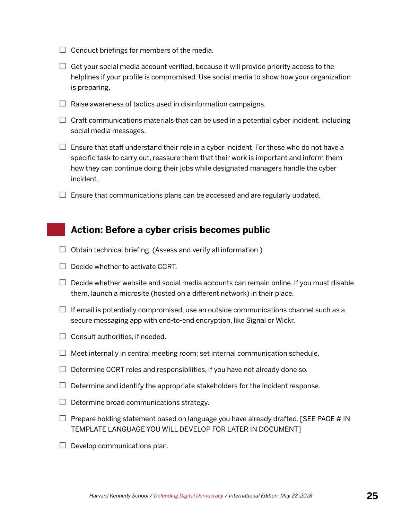- $\Box$  Conduct briefings for members of the media.
- $\Box$  Get your social media account verified, because it will provide priority access to the helplines if your profile is compromised. Use social media to show how your organization is preparing.
- $\Box$  Raise awareness of tactics used in disinformation campaigns.
- $\Box$  Craft communications materials that can be used in a potential cyber incident, including social media messages.
- $\Box$  Ensure that staff understand their role in a cyber incident. For those who do not have a specific task to carry out, reassure them that their work is important and inform them how they can continue doing their jobs while designated managers handle the cyber incident.
- $\Box$  Ensure that communications plans can be accessed and are regularly updated.

#### **Action: Before a cyber crisis becomes public**

- $\Box$  Obtain technical briefing. (Assess and verify all information.)
- $\Box$  Decide whether to activate CCRT.
- $\Box$  Decide whether website and social media accounts can remain online. If you must disable them, launch a microsite (hosted on a different network) in their place.
- $\Box$  If email is potentially compromised, use an outside communications channel such as a secure messaging app with end-to-end encryption, like Signal or Wickr.
- $\Box$  Consult authorities, if needed.
- $\Box$  Meet internally in central meeting room; set internal communication schedule.
- $\Box$  Determine CCRT roles and responsibilities, if you have not already done so.
- $\Box$  Determine and identify the appropriate stakeholders for the incident response.
- $\Box$  Determine broad communications strategy.
- $\Box$  Prepare holding statement based on language you have already drafted. [SEE PAGE # IN TEMPLATE LANGUAGE YOU WILL DEVELOP FOR LATER IN DOCUMENT]
- $\Box$  Develop communications plan.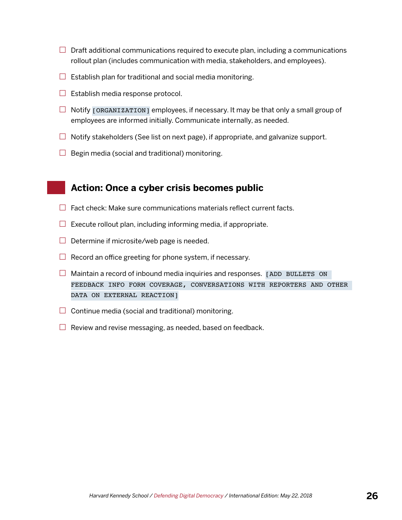- $\Box$  Draft additional communications required to execute plan, including a communications rollout plan (includes communication with media, stakeholders, and employees).
- $\Box$  Establish plan for traditional and social media monitoring.
- $\Box$  Establish media response protocol.
- $\Box$  Notify [ORGANIZATION] employees, if necessary. It may be that only a small group of employees are informed initially. Communicate internally, as needed.
- $\Box$  Notify stakeholders (See list on next page), if appropriate, and galvanize support.
- $\Box$  Begin media (social and traditional) monitoring.

#### **Action: Once a cyber crisis becomes public**

- $\Box$  Fact check: Make sure communications materials reflect current facts.
- $\Box$  Execute rollout plan, including informing media, if appropriate.
- $\Box$  Determine if microsite/web page is needed.
- $\Box$  Record an office greeting for phone system, if necessary.
- $\Box$  Maintain a record of inbound media inquiries and responses. [ADD BULLETS ON FEEDBACK INFO FORM COVERAGE, CONVERSATIONS WITH REPORTERS AND OTHER DATA ON EXTERNAL REACTION]
- $\Box$  Continue media (social and traditional) monitoring.
- $\Box$  Review and revise messaging, as needed, based on feedback.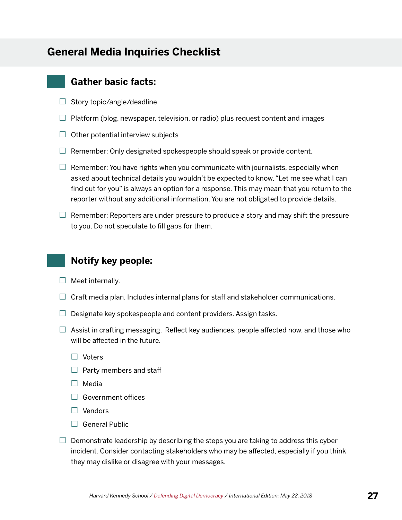#### <span id="page-28-0"></span>**General Media Inquiries Checklist**

#### **Gather basic facts:**

- $\Box$  Story topic/angle/deadline
- $\Box$  Platform (blog, newspaper, television, or radio) plus request content and images
- $\Box$  Other potential interview subjects
- $\Box$  Remember: Only designated spokespeople should speak or provide content.
- $\Box$  Remember: You have rights when you communicate with journalists, especially when asked about technical details you wouldn't be expected to know. "Let me see what I can find out for you" is always an option for a response. This may mean that you return to the reporter without any additional information. You are not obligated to provide details.
- $\Box$  Remember: Reporters are under pressure to produce a story and may shift the pressure to you. Do not speculate to fill gaps for them.

#### **Notify key people:**

- $\Box$  Meet internally.
- $\Box$  Craft media plan. Includes internal plans for staff and stakeholder communications.
- $\Box$  Designate key spokespeople and content providers. Assign tasks.
- $\Box$  Assist in crafting messaging. Reflect key audiences, people affected now, and those who will be affected in the future.
	- $\Box$  Voters
	- $\Box$  Party members and staff
	- $\Box$  Media
	- $\Box$  Government offices
	- $\Box$  Vendors
	- $\Box$  General Public
- $\Box$  Demonstrate leadership by describing the steps you are taking to address this cyber incident. Consider contacting stakeholders who may be affected, especially if you think they may dislike or disagree with your messages.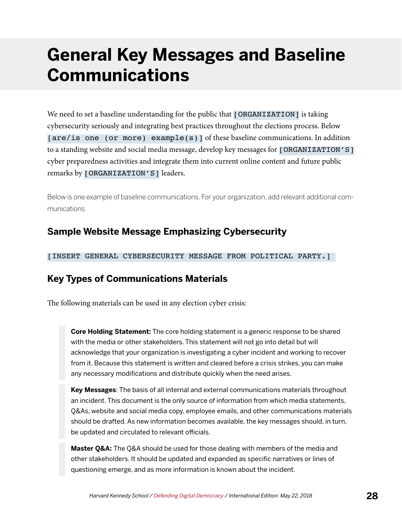## <span id="page-29-0"></span>**General Key Messages and Baseline Communications**

We need to set a baseline understanding for the public that [ORGANIZATION] is taking cybersecurity seriously and integrating best practices throughout the elections process. Below [are/is one (or more) example(s)] of these baseline communications. In addition to a standing website and social media message, develop key messages for [ORGANIZATION'S] cyber preparedness activities and integrate them into current online content and future public remarks by [ORGANIZATION'S] leaders.

Below is one example of baseline communications. For your organization, add relevant additional communications.

#### **Sample Website Message Emphasizing Cybersecurity**

[INSERT GENERAL CYBERSECURITY MESSAGE FROM POLITICAL PARTY.]

#### **Key Types of Communications Materials**

The following materials can be used in any election cyber crisis:

**Core Holding Statement:** The core holding statement is a generic response to be shared with the media or other stakeholders. This statement will not go into detail but will acknowledge that your organization is investigating a cyber incident and working to recover from it. Because this statement is written and cleared before a crisis strikes, you can make any necessary modifications and distribute quickly when the need arises.

**Key Messages**: The basis of all internal and external communications materials throughout an incident. This document is the only source of information from which media statements, Q&As, website and social media copy, employee emails, and other communications materials should be drafted. As new information becomes available, the key messages should, in turn, be updated and circulated to relevant officials.

**Master Q&A:** The Q&A should be used for those dealing with members of the media and other stakeholders. It should be updated and expanded as specific narratives or lines of questioning emerge, and as more information is known about the incident.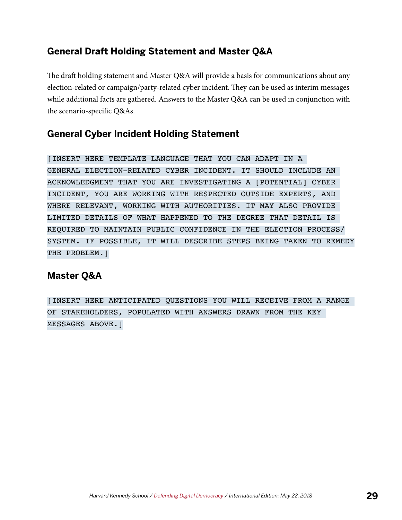#### **General Draft Holding Statement and Master Q&A**

The draft holding statement and Master Q&A will provide a basis for communications about any election-related or campaign/party-related cyber incident. They can be used as interim messages while additional facts are gathered. Answers to the Master Q&A can be used in conjunction with the scenario-specific Q&As.

#### **General Cyber Incident Holding Statement**

[INSERT HERE TEMPLATE LANGUAGE THAT YOU CAN ADAPT IN A GENERAL ELECTION-RELATED CYBER INCIDENT. IT SHOULD INCLUDE AN ACKNOWLEDGMENT THAT YOU ARE INVESTIGATING A [POTENTIAL] CYBER INCIDENT, YOU ARE WORKING WITH RESPECTED OUTSIDE EXPERTS, AND WHERE RELEVANT, WORKING WITH AUTHORITIES. IT MAY ALSO PROVIDE LIMITED DETAILS OF WHAT HAPPENED TO THE DEGREE THAT DETAIL IS REQUIRED TO MAINTAIN PUBLIC CONFIDENCE IN THE ELECTION PROCESS/ SYSTEM. IF POSSIBLE, IT WILL DESCRIBE STEPS BEING TAKEN TO REMEDY THE PROBLEM.]

#### **Master Q&A**

[INSERT HERE ANTICIPATED QUESTIONS YOU WILL RECEIVE FROM A RANGE OF STAKEHOLDERS, POPULATED WITH ANSWERS DRAWN FROM THE KEY MESSAGES ABOVE.]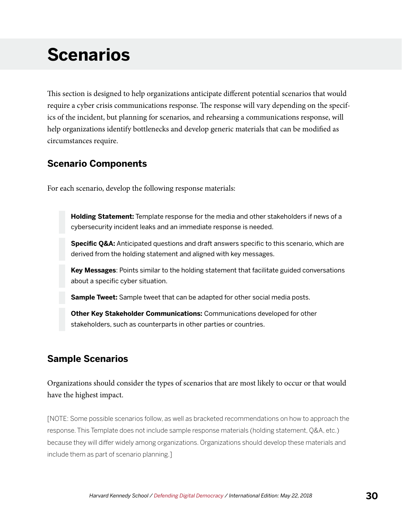## <span id="page-31-0"></span>**Scenarios**

This section is designed to help organizations anticipate different potential scenarios that would require a cyber crisis communications response. The response will vary depending on the specifics of the incident, but planning for scenarios, and rehearsing a communications response, will help organizations identify bottlenecks and develop generic materials that can be modified as circumstances require.

#### **Scenario Components**

For each scenario, develop the following response materials:

**Holding Statement:** Template response for the media and other stakeholders if news of a cybersecurity incident leaks and an immediate response is needed.

**Specific Q&A:** Anticipated questions and draft answers specific to this scenario, which are derived from the holding statement and aligned with key messages.

**Key Messages**: Points similar to the holding statement that facilitate guided conversations about a specific cyber situation.

**Sample Tweet:** Sample tweet that can be adapted for other social media posts.

**Other Key Stakeholder Communications:** Communications developed for other stakeholders, such as counterparts in other parties or countries.

#### **Sample Scenarios**

Organizations should consider the types of scenarios that are most likely to occur or that would have the highest impact.

[NOTE: Some possible scenarios follow, as well as bracketed recommendations on how to approach the response. This Template does not include sample response materials (holding statement, Q&A, etc.) because they will differ widely among organizations. Organizations should develop these materials and include them as part of scenario planning.]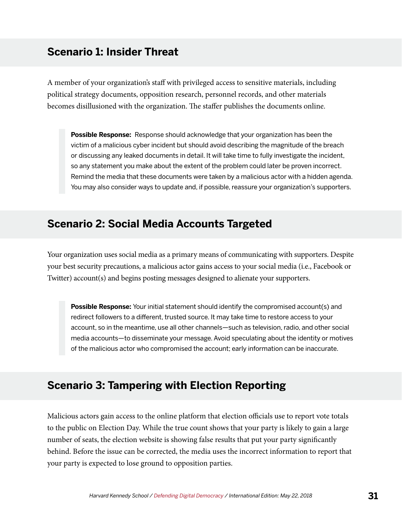#### <span id="page-32-0"></span>**Scenario 1: Insider Threat**

A member of your organization's staff with privileged access to sensitive materials, including political strategy documents, opposition research, personnel records, and other materials becomes disillusioned with the organization. The staffer publishes the documents online.

**Possible Response:** Response should acknowledge that your organization has been the victim of a malicious cyber incident but should avoid describing the magnitude of the breach or discussing any leaked documents in detail. It will take time to fully investigate the incident, so any statement you make about the extent of the problem could later be proven incorrect. Remind the media that these documents were taken by a malicious actor with a hidden agenda. You may also consider ways to update and, if possible, reassure your organization's supporters.

#### **Scenario 2: Social Media Accounts Targeted**

Your organization uses social media as a primary means of communicating with supporters. Despite your best security precautions, a malicious actor gains access to your social media (i.e., Facebook or Twitter) account(s) and begins posting messages designed to alienate your supporters.

**Possible Response:** Your initial statement should identify the compromised account(s) and redirect followers to a different, trusted source. It may take time to restore access to your account, so in the meantime, use all other channels—such as television, radio, and other social media accounts—to disseminate your message. Avoid speculating about the identity or motives of the malicious actor who compromised the account; early information can be inaccurate.

#### **Scenario 3: Tampering with Election Reporting**

Malicious actors gain access to the online platform that election officials use to report vote totals to the public on Election Day. While the true count shows that your party is likely to gain a large number of seats, the election website is showing false results that put your party significantly behind. Before the issue can be corrected, the media uses the incorrect information to report that your party is expected to lose ground to opposition parties.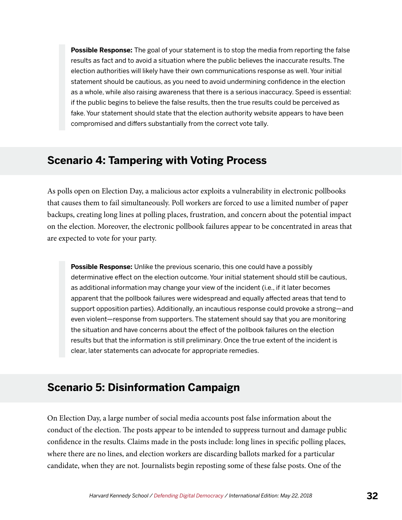<span id="page-33-0"></span>**Possible Response:** The goal of your statement is to stop the media from reporting the false results as fact and to avoid a situation where the public believes the inaccurate results. The election authorities will likely have their own communications response as well. Your initial statement should be cautious, as you need to avoid undermining confidence in the election as a whole, while also raising awareness that there is a serious inaccuracy. Speed is essential: if the public begins to believe the false results, then the true results could be perceived as fake. Your statement should state that the election authority website appears to have been compromised and differs substantially from the correct vote tally.

#### **Scenario 4: Tampering with Voting Process**

As polls open on Election Day, a malicious actor exploits a vulnerability in electronic pollbooks that causes them to fail simultaneously. Poll workers are forced to use a limited number of paper backups, creating long lines at polling places, frustration, and concern about the potential impact on the election. Moreover, the electronic pollbook failures appear to be concentrated in areas that are expected to vote for your party.

**Possible Response:** Unlike the previous scenario, this one could have a possibly determinative effect on the election outcome. Your initial statement should still be cautious, as additional information may change your view of the incident (i.e., if it later becomes apparent that the pollbook failures were widespread and equally affected areas that tend to support opposition parties). Additionally, an incautious response could provoke a strong—and even violent—response from supporters. The statement should say that you are monitoring the situation and have concerns about the effect of the pollbook failures on the election results but that the information is still preliminary. Once the true extent of the incident is clear, later statements can advocate for appropriate remedies.

#### **Scenario 5: Disinformation Campaign**

On Election Day, a large number of social media accounts post false information about the conduct of the election. The posts appear to be intended to suppress turnout and damage public confidence in the results. Claims made in the posts include: long lines in specific polling places, where there are no lines, and election workers are discarding ballots marked for a particular candidate, when they are not. Journalists begin reposting some of these false posts. One of the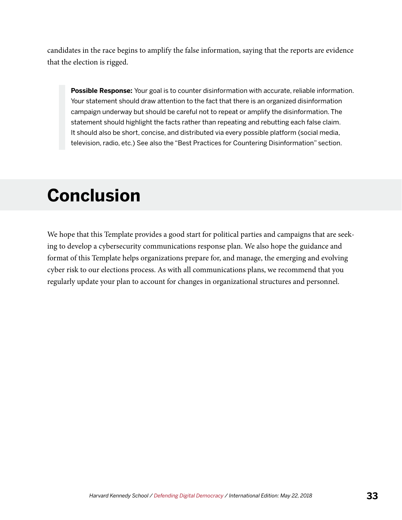<span id="page-34-0"></span>candidates in the race begins to amplify the false information, saying that the reports are evidence that the election is rigged.

**Possible Response:** Your goal is to counter disinformation with accurate, reliable information. Your statement should draw attention to the fact that there is an organized disinformation campaign underway but should be careful not to repeat or amplify the disinformation. The statement should highlight the facts rather than repeating and rebutting each false claim. It should also be short, concise, and distributed via every possible platform (social media, television, radio, etc.) See also the "Best Practices for Countering Disinformation" section.

## **Conclusion**

We hope that this Template provides a good start for political parties and campaigns that are seeking to develop a cybersecurity communications response plan. We also hope the guidance and format of this Template helps organizations prepare for, and manage, the emerging and evolving cyber risk to our elections process. As with all communications plans, we recommend that you regularly update your plan to account for changes in organizational structures and personnel.